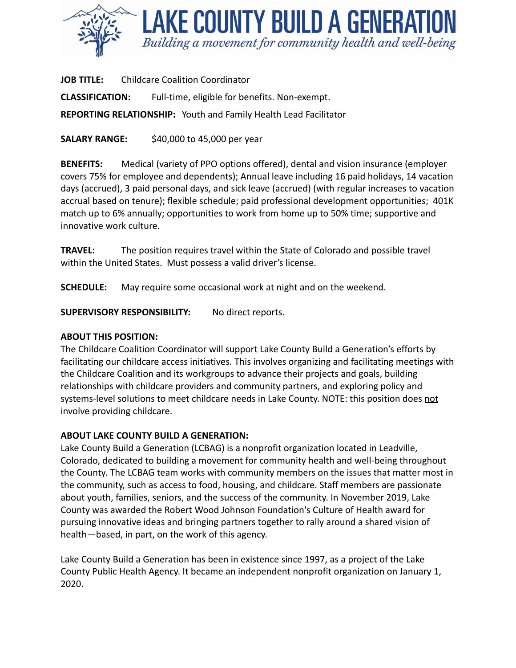

**JOB TITLE:** Childcare Coalition Coordinator **CLASSIFICATION:** Full-time, eligible for benefits. Non-exempt. **REPORTING RELATIONSHIP:** Youth and Family Health Lead Facilitator

**SALARY RANGE:** \$40,000 to 45,000 per year

**BENEFITS:** Medical (variety of PPO options offered), dental and vision insurance (employer covers 75% for employee and dependents); Annual leave including 16 paid holidays, 14 vacation days (accrued), 3 paid personal days, and sick leave (accrued) (with regular increases to vacation accrual based on tenure); flexible schedule; paid professional development opportunities; 401K match up to 6% annually; opportunities to work from home up to 50% time; supportive and innovative work culture.

**TRAVEL:** The position requires travel within the State of Colorado and possible travel within the United States. Must possess a valid driver's license.

**SCHEDULE:** May require some occasional work at night and on the weekend.

**SUPERVISORY RESPONSIBILITY:** No direct reports.

### **ABOUT THIS POSITION:**

The Childcare Coalition Coordinator will support Lake County Build a Generation's efforts by facilitating our childcare access initiatives. This involves organizing and facilitating meetings with the Childcare Coalition and its workgroups to advance their projects and goals, building relationships with childcare providers and community partners, and exploring policy and systems-level solutions to meet childcare needs in Lake County. NOTE: this position does not involve providing childcare.

### **ABOUT LAKE COUNTY BUILD A GENERATION:**

Lake County Build a Generation (LCBAG) is a nonprofit organization located in Leadville, Colorado, dedicated to building a movement for community health and well-being throughout the County. The LCBAG team works with community members on the issues that matter most in the community, such as access to food, housing, and childcare. Staff members are passionate about youth, families, seniors, and the success of the community. In November 2019, Lake County was awarded the Robert Wood Johnson Foundation's Culture of Health award for pursuing innovative ideas and bringing partners together to rally around a shared vision of health—based, in part, on the work of this agency.

Lake County Build a Generation has been in existence since 1997, as a project of the Lake County Public Health Agency. It became an independent nonprofit organization on January 1, 2020.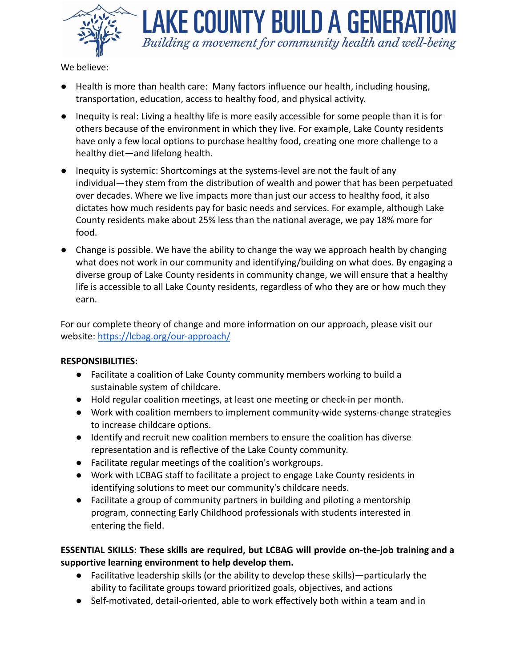

LAKE COUNTY BUILD A GENERAT Building a movement for community health and well-being

We believe:

- Health is more than health care: Many factors influence our health, including housing, transportation, education, access to healthy food, and physical activity.
- Inequity is real: Living a healthy life is more easily accessible for some people than it is for others because of the environment in which they live. For example, Lake County residents have only a few local options to purchase healthy food, creating one more challenge to a healthy diet—and lifelong health.
- Inequity is systemic: Shortcomings at the systems-level are not the fault of any individual—they stem from the distribution of wealth and power that has been perpetuated over decades. Where we live impacts more than just our access to healthy food, it also dictates how much residents pay for basic needs and services. For example, although Lake County residents make about 25% less than the national average, we pay 18% more for food.
- Change is possible. We have the ability to change the way we approach health by changing what does not work in our community and identifying/building on what does. By engaging a diverse group of Lake County residents in community change, we will ensure that a healthy life is accessible to all Lake County residents, regardless of who they are or how much they earn.

For our complete theory of change and more information on our approach, please visit our website: <https://lcbag.org/our-approach/>

### **RESPONSIBILITIES:**

- Facilitate a coalition of Lake County community members working to build a sustainable system of childcare.
- Hold regular coalition meetings, at least one meeting or check-in per month.
- Work with coalition members to implement community-wide systems-change strategies to increase childcare options.
- Identify and recruit new coalition members to ensure the coalition has diverse representation and is reflective of the Lake County community.
- Facilitate regular meetings of the coalition's workgroups.
- Work with LCBAG staff to facilitate a project to engage Lake County residents in identifying solutions to meet our community's childcare needs.
- Facilitate a group of community partners in building and piloting a mentorship program, connecting Early Childhood professionals with students interested in entering the field.

# **ESSENTIAL SKILLS: These skills are required, but LCBAG will provide on-the-job training and a supportive learning environment to help develop them.**

- Facilitative leadership skills (or the ability to develop these skills)—particularly the ability to facilitate groups toward prioritized goals, objectives, and actions
- Self-motivated, detail-oriented, able to work effectively both within a team and in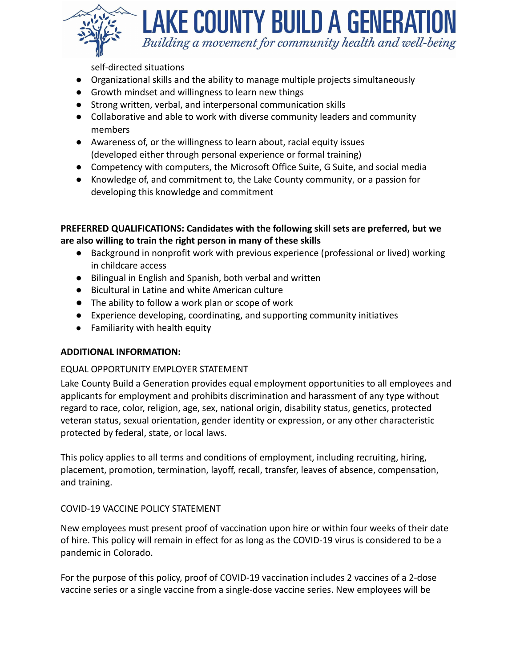

LAKE COUNTY BUILD A GENERATI Building a movement for community health and well-being

self-directed situations

- Organizational skills and the ability to manage multiple projects simultaneously
- Growth mindset and willingness to learn new things
- Strong written, verbal, and interpersonal communication skills
- Collaborative and able to work with diverse community leaders and community members
- Awareness of, or the willingness to learn about, racial equity issues (developed either through personal experience or formal training)
- Competency with computers, the Microsoft Office Suite, G Suite, and social media
- Knowledge of, and commitment to, the Lake County community, or a passion for developing this knowledge and commitment

```
PREFERRED QUALIFICATIONS: Candidates with the following skill sets are preferred, but we
are also willing to train the right person in many of these skills
```
- Background in nonprofit work with previous experience (professional or lived) working in childcare access
- Bilingual in English and Spanish, both verbal and written
- Bicultural in Latine and white American culture
- The ability to follow a work plan or scope of work
- Experience developing, coordinating, and supporting community initiatives
- Familiarity with health equity

### **ADDITIONAL INFORMATION:**

#### EQUAL OPPORTUNITY EMPLOYER STATEMENT

Lake County Build a Generation provides equal employment opportunities to all employees and applicants for employment and prohibits discrimination and harassment of any type without regard to race, color, religion, age, sex, national origin, disability status, genetics, protected veteran status, sexual orientation, gender identity or expression, or any other characteristic protected by federal, state, or local laws.

This policy applies to all terms and conditions of employment, including recruiting, hiring, placement, promotion, termination, layoff, recall, transfer, leaves of absence, compensation, and training.

#### COVID-19 VACCINE POLICY STATEMENT

New employees must present proof of vaccination upon hire or within four weeks of their date of hire. This policy will remain in effect for as long as the COVID-19 virus is considered to be a pandemic in Colorado.

For the purpose of this policy, proof of COVID-19 vaccination includes 2 vaccines of a 2-dose vaccine series or a single vaccine from a single-dose vaccine series. New employees will be